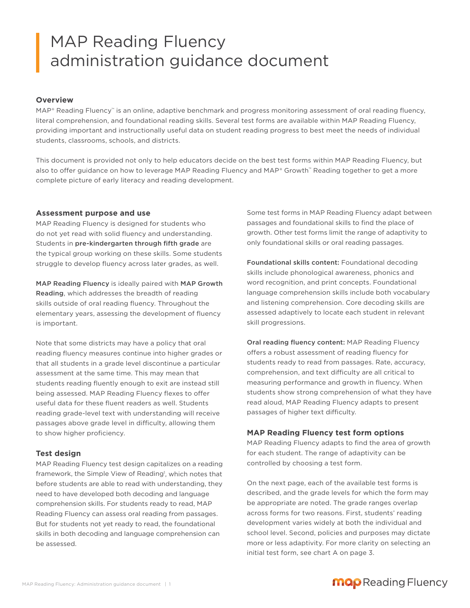# MAP Reading Fluency administration guidance document

## **Overview**

MAP® Reading Fluency™ is an online, adaptive benchmark and progress monitoring assessment of oral reading fluency, literal comprehension, and foundational reading skills. Several test forms are available within MAP Reading Fluency, providing important and instructionally useful data on student reading progress to best meet the needs of individual students, classrooms, schools, and districts.

This document is provided not only to help educators decide on the best test forms within MAP Reading Fluency, but also to offer quidance on how to leverage MAP Reading Fluency and MAP® Growth™ Reading together to get a more complete picture of early literacy and reading development.

## **Assessment purpose and use**

MAP Reading Fluency is designed for students who do not yet read with solid fluency and understanding. Students in pre-kindergarten through fifth grade are the typical group working on these skills. Some students struggle to develop fluency across later grades, as well.

MAP Reading Fluency is ideally paired with MAP Growth Reading, which addresses the breadth of reading skills outside of oral reading fluency. Throughout the elementary years, assessing the development of fluency is important.

Note that some districts may have a policy that oral reading fluency measures continue into higher grades or that all students in a grade level discontinue a particular assessment at the same time. This may mean that students reading fluently enough to exit are instead still being assessed. MAP Reading Fluency flexes to offer useful data for these fluent readers as well. Students reading grade-level text with understanding will receive passages above grade level in difficulty, allowing them to show higher proficiency.

#### **Test design**

MAP Reading Fluency test design capitalizes on a reading framework, the Simple View of Reading<sup>1</sup>, which notes that before students are able to read with understanding, they need to have developed both decoding and language comprehension skills. For students ready to read, MAP Reading Fluency can assess oral reading from passages. But for students not yet ready to read, the foundational skills in both decoding and language comprehension can be assessed.

Some test forms in MAP Reading Fluency adapt between passages and foundational skills to find the place of growth. Other test forms limit the range of adaptivity to only foundational skills or oral reading passages.

Foundational skills content: Foundational decoding skills include phonological awareness, phonics and word recognition, and print concepts. Foundational language comprehension skills include both vocabulary and listening comprehension. Core decoding skills are assessed adaptively to locate each student in relevant skill progressions.

Oral reading fluency content: MAP Reading Fluency offers a robust assessment of reading fluency for students ready to read from passages. Rate, accuracy, comprehension, and text difficulty are all critical to measuring performance and growth in fluency. When students show strong comprehension of what they have read aloud, MAP Reading Fluency adapts to present passages of higher text difficulty.

## **MAP Reading Fluency test form options**

MAP Reading Fluency adapts to find the area of growth for each student. The range of adaptivity can be controlled by choosing a test form.

On the next page, each of the available test forms is described, and the grade levels for which the form may be appropriate are noted. The grade ranges overlap across forms for two reasons. First, students' reading development varies widely at both the individual and school level. Second, policies and purposes may dictate more or less adaptivity. For more clarity on selecting an initial test form, see chart A on page 3.

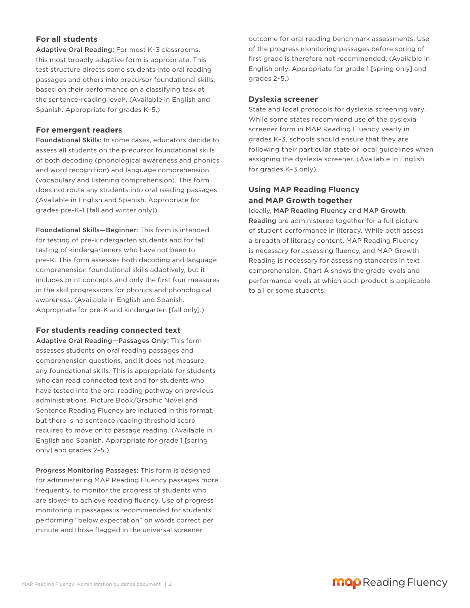## **For all students**

Adaptive Oral Reading: For most K–3 classrooms, this most broadly adaptive form is appropriate. This test structure directs some students into oral reading passages and others into precursor foundational skills, based on their performance on a classifying task at the sentence-reading level2. (Available in English and Spanish. Appropriate for grades K–5.)

## **For emergent readers**

Foundational Skills: In some cases, educators decide to assess all students on the precursor foundational skills of both decoding (phonological awareness and phonics and word recognition) and language comprehension (vocabulary and listening comprehension). This form does not route any students into oral reading passages. (Available in English and Spanish. Appropriate for grades pre-K–1 [fall and winter only]).

Foundational Skills—Beginner: This form is intended for testing of pre-kindergarten students and for fall testing of kindergarteners who have not been to pre-K. This form assesses both decoding and language comprehension foundational skills adaptively, but it includes print concepts and only the first four measures in the skill progressions for phonics and phonological awareness. (Available in English and Spanish. Appropriate for pre-K and kindergarten [fall only].)

#### **For students reading connected text**

Adaptive Oral Reading—Passages Only: This form assesses students on oral reading passages and comprehension questions, and it does not measure any foundational skills. This is appropriate for students who can read connected text and for students who have tested into the oral reading pathway on previous administrations. Picture Book/Graphic Novel and Sentence Reading Fluency are included in this format, but there is no sentence reading threshold score required to move on to passage reading. (Available in English and Spanish. Appropriate for grade 1 [spring only] and grades 2–5.)

Progress Monitoring Passages: This form is designed for administering MAP Reading Fluency passages more frequently, to monitor the progress of students who are slower to achieve reading fluency. Use of progress monitoring in passages is recommended for students performing "below expectation" on words correct per minute and those flagged in the universal screener

outcome for oral reading benchmark assessments. Use of the progress monitoring passages before spring of first grade is therefore not recommended. (Available in English only. Appropriate for grade 1 [spring only] and grades 2–5.)

#### **Dyslexia screener**

State and local protocols for dyslexia screening vary. While some states recommend use of the dyslexia screener form in MAP Reading Fluency yearly in grades K–3, schools should ensure that they are following their particular state or local guidelines when assigning the dyslexia screener. (Available in English for grades K–3 only).

## **Using MAP Reading Fluency and MAP Growth together**

Ideally, MAP Reading Fluency and MAP Growth Reading are administered together for a full picture of student performance in literacy. While both assess a breadth of literacy content, MAP Reading Fluency is necessary for assessing fluency, and MAP Growth Reading is necessary for assessing standards in text comprehension. Chart A shows the grade levels and performance levels at which each product is applicable to all or some students.